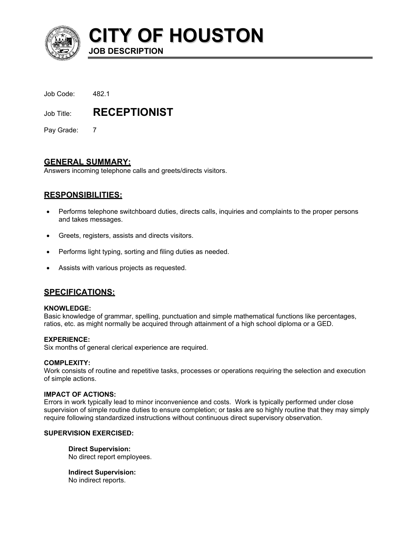

**CITY OF HOUSTON**

| Job Code: | 482.1 |
|-----------|-------|
|           |       |

Job Title: **RECEPTIONIST** 

**JOB DESCRIPTION** 

Pay Grade: 7

# **GENERAL SUMMARY:**

Answers incoming telephone calls and greets/directs visitors.

# **RESPONSIBILITIES:**

- Performs telephone switchboard duties, directs calls, inquiries and complaints to the proper persons and takes messages. •
- Greets, registers, assists and directs visitors.
- Performs light typing, sorting and filing duties as needed.
- Assists with various projects as requested.

## **SPECIFICATIONS:**

#### **KNOWLEDGE:**

Basic knowledge of grammar, spelling, punctuation and simple mathematical functions like percentages, ratios, etc. as might normally be acquired through attainment of a high school diploma or a GED.

### **EXPERIENCE:**

Six months of general clerical experience are required.

#### **COMPLEXITY:**

Work consists of routine and repetitive tasks, processes or operations requiring the selection and execution of simple actions.

#### **IMPACT OF ACTIONS:**

Errors in work typically lead to minor inconvenience and costs. Work is typically performed under close supervision of simple routine duties to ensure completion; or tasks are so highly routine that they may simply require following standardized instructions without continuous direct supervisory observation.

### **SUPERVISION EXERCISED:**

**Direct Supervision:** No direct report employees.

**Indirect Supervision:** No indirect reports.